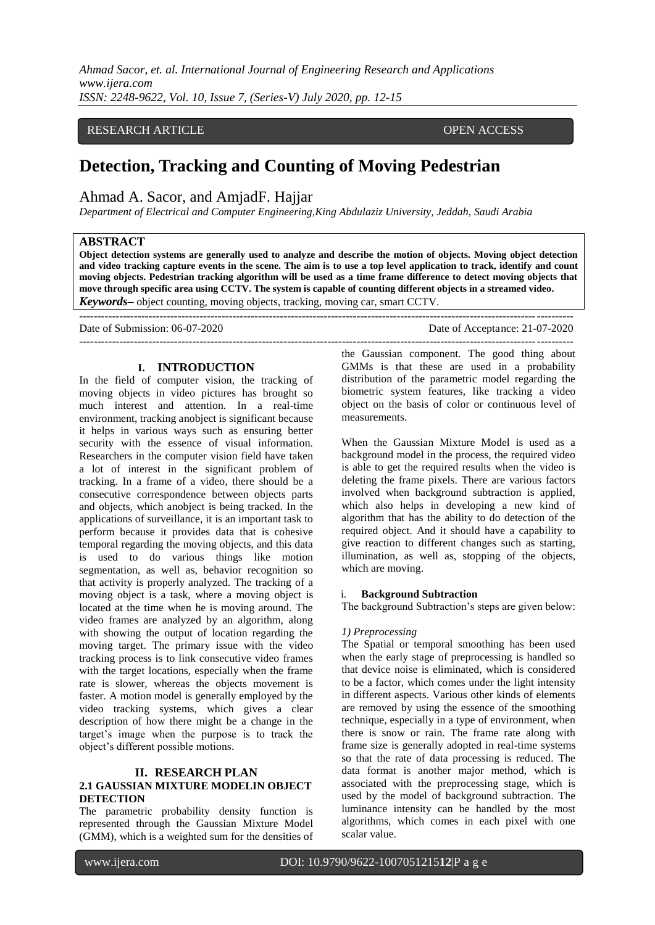*Ahmad Sacor, et. al. International Journal of Engineering Research and Applications www.ijera.com ISSN: 2248-9622, Vol. 10, Issue 7, (Series-V) July 2020, pp. 12-15*

## RESEARCH ARTICLE OPEN ACCESS

# **Detection, Tracking and Counting of Moving Pedestrian**

# Ahmad A. Sacor, and AmjadF. Hajjar

*Department of Electrical and Computer Engineering,King Abdulaziz University, Jeddah, Saudi Arabia*

#### **ABSTRACT**

**Object detection systems are generally used to analyze and describe the motion of objects. Moving object detection and video tracking capture events in the scene. The aim is to use a top level application to track, identify and count moving objects. Pedestrian tracking algorithm will be used as a time frame difference to detect moving objects that move through specific area using CCTV. The system is capable of counting different objects in a streamed video.** *Keywords***–** object counting, moving objects, tracking, moving car, smart CCTV.

---------------------------------------------------------------------------------------------------------------------------------------

---------------------------------------------------------------------------------------------------------------------------------------

Date of Submission: 06-07-2020 Date of Acceptance: 21-07-2020

#### **I. INTRODUCTION**

In the field of computer vision, the tracking of moving objects in video pictures has brought so much interest and attention. In a real-time environment, tracking anobject is significant because it helps in various ways such as ensuring better security with the essence of visual information. Researchers in the computer vision field have taken a lot of interest in the significant problem of tracking. In a frame of a video, there should be a consecutive correspondence between objects parts and objects, which anobject is being tracked. In the applications of surveillance, it is an important task to perform because it provides data that is cohesive temporal regarding the moving objects, and this data is used to do various things like motion segmentation, as well as, behavior recognition so that activity is properly analyzed. The tracking of a moving object is a task, where a moving object is located at the time when he is moving around. The video frames are analyzed by an algorithm, along with showing the output of location regarding the moving target. The primary issue with the video tracking process is to link consecutive video frames with the target locations, especially when the frame rate is slower, whereas the objects movement is faster. A motion model is generally employed by the video tracking systems, which gives a clear description of how there might be a change in the target's image when the purpose is to track the object's different possible motions.

#### **II. RESEARCH PLAN 2.1 GAUSSIAN MIXTURE MODELIN OBJECT DETECTION**

The parametric probability density function is represented through the Gaussian Mixture Model (GMM), which is a weighted sum for the densities of the Gaussian component. The good thing about GMMs is that these are used in a probability distribution of the parametric model regarding the biometric system features, like tracking a video object on the basis of color or continuous level of measurements.

When the Gaussian Mixture Model is used as a background model in the process, the required video is able to get the required results when the video is deleting the frame pixels. There are various factors involved when background subtraction is applied, which also helps in developing a new kind of algorithm that has the ability to do detection of the required object. And it should have a capability to give reaction to different changes such as starting, illumination, as well as, stopping of the objects, which are moving.

## i. **Background Subtraction**

The background Subtraction's steps are given below:

#### *1) Preprocessing*

The Spatial or temporal smoothing has been used when the early stage of preprocessing is handled so that device noise is eliminated, which is considered to be a factor, which comes under the light intensity in different aspects. Various other kinds of elements are removed by using the essence of the smoothing technique, especially in a type of environment, when there is snow or rain. The frame rate along with frame size is generally adopted in real-time systems so that the rate of data processing is reduced. The data format is another major method, which is associated with the preprocessing stage, which is used by the model of background subtraction. The luminance intensity can be handled by the most algorithms, which comes in each pixel with one scalar value.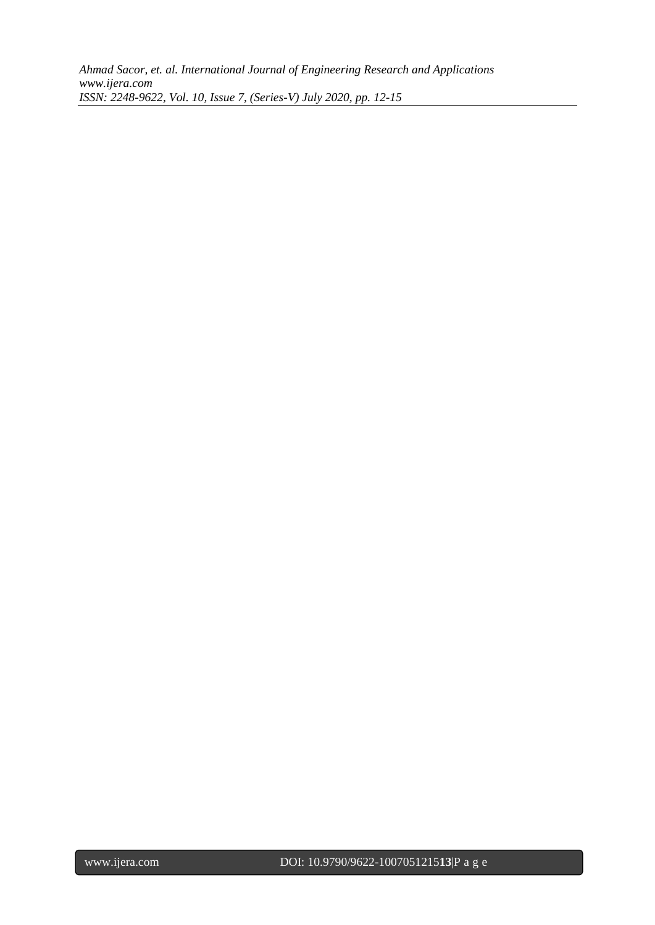*ISSN: 2248-9622, Vol. 10, Issue 7, (Series-V) July 2020, pp. 12-15*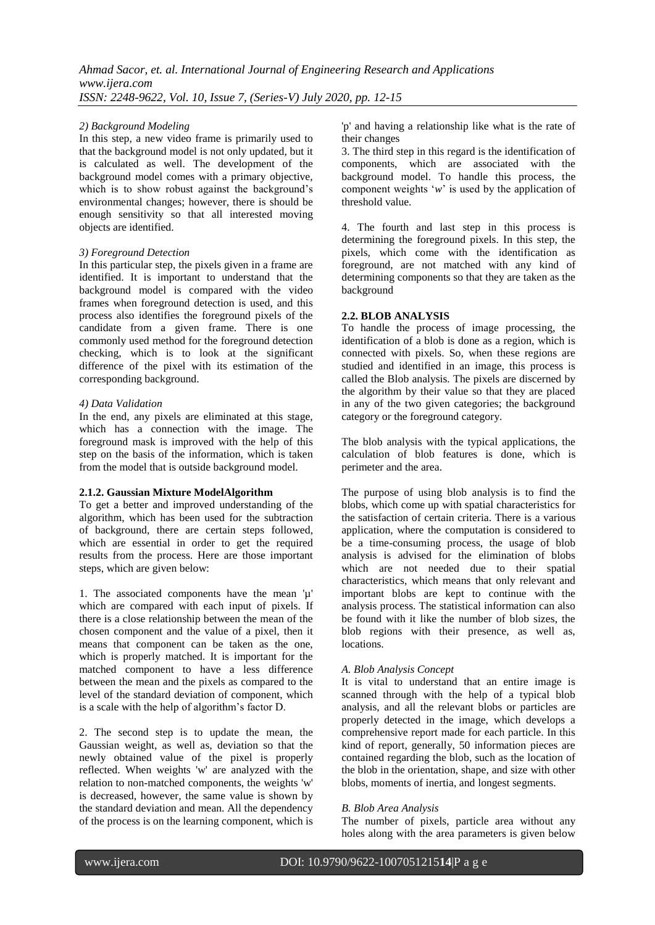## *2) Background Modeling*

In this step, a new video frame is primarily used to that the background model is not only updated, but it is calculated as well. The development of the background model comes with a primary objective, which is to show robust against the background's environmental changes; however, there is should be enough sensitivity so that all interested moving objects are identified.

## *3) Foreground Detection*

In this particular step, the pixels given in a frame are identified. It is important to understand that the background model is compared with the video frames when foreground detection is used, and this process also identifies the foreground pixels of the candidate from a given frame. There is one commonly used method for the foreground detection checking, which is to look at the significant difference of the pixel with its estimation of the corresponding background.

## *4) Data Validation*

In the end, any pixels are eliminated at this stage, which has a connection with the image. The foreground mask is improved with the help of this step on the basis of the information, which is taken from the model that is outside background model.

## **2.1.2. Gaussian Mixture ModelAlgorithm**

To get a better and improved understanding of the algorithm, which has been used for the subtraction of background, there are certain steps followed, which are essential in order to get the required results from the process. Here are those important steps, which are given below:

1. The associated components have the mean 'µ' which are compared with each input of pixels. If there is a close relationship between the mean of the chosen component and the value of a pixel, then it means that component can be taken as the one, which is properly matched. It is important for the matched component to have a less difference between the mean and the pixels as compared to the level of the standard deviation of component, which is a scale with the help of algorithm's factor D.

2. The second step is to update the mean, the Gaussian weight, as well as, deviation so that the newly obtained value of the pixel is properly reflected. When weights 'w' are analyzed with the relation to non-matched components, the weights 'w' is decreased, however, the same value is shown by the standard deviation and mean. All the dependency of the process is on the learning component, which is

'p' and having a relationship like what is the rate of their changes

3. The third step in this regard is the identification of components, which are associated with the background model. To handle this process, the component weights '*w*' is used by the application of threshold value.

4. The fourth and last step in this process is determining the foreground pixels. In this step, the pixels, which come with the identification as foreground, are not matched with any kind of determining components so that they are taken as the background

## **2.2. BLOB ANALYSIS**

To handle the process of image processing, the identification of a blob is done as a region, which is connected with pixels. So, when these regions are studied and identified in an image, this process is called the Blob analysis. The pixels are discerned by the algorithm by their value so that they are placed in any of the two given categories; the background category or the foreground category.

The blob analysis with the typical applications, the calculation of blob features is done, which is perimeter and the area.

The purpose of using blob analysis is to find the blobs, which come up with spatial characteristics for the satisfaction of certain criteria. There is a various application, where the computation is considered to be a time-consuming process, the usage of blob analysis is advised for the elimination of blobs which are not needed due to their spatial characteristics, which means that only relevant and important blobs are kept to continue with the analysis process. The statistical information can also be found with it like the number of blob sizes, the blob regions with their presence, as well as, locations.

# *A. Blob Analysis Concept*

It is vital to understand that an entire image is scanned through with the help of a typical blob analysis, and all the relevant blobs or particles are properly detected in the image, which develops a comprehensive report made for each particle. In this kind of report, generally, 50 information pieces are contained regarding the blob, such as the location of the blob in the orientation, shape, and size with other blobs, moments of inertia, and longest segments.

## *B. Blob Area Analysis*

The number of pixels, particle area without any holes along with the area parameters is given below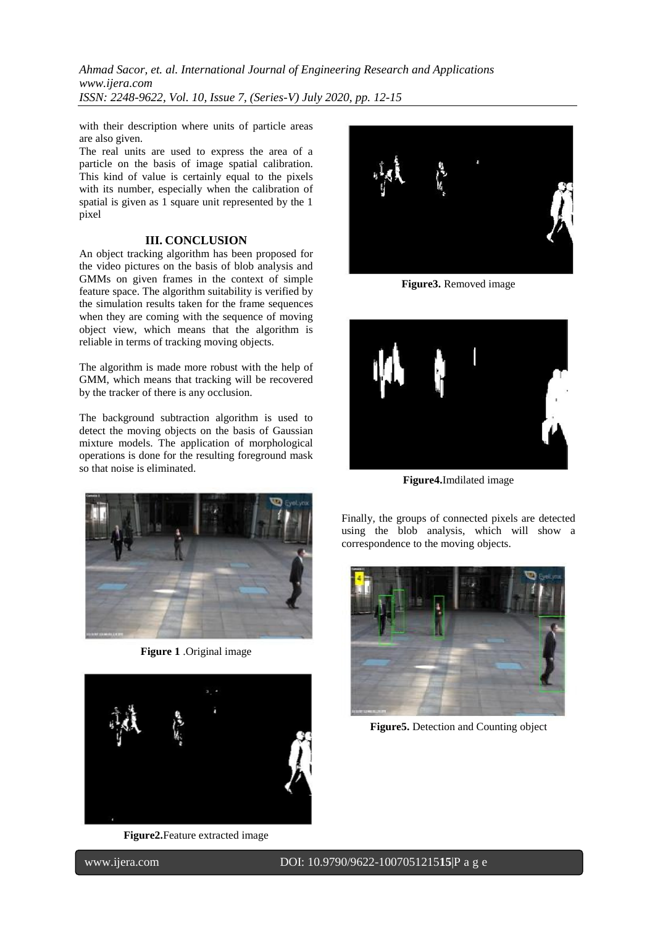*Ahmad Sacor, et. al. International Journal of Engineering Research and Applications www.ijera.com ISSN: 2248-9622, Vol. 10, Issue 7, (Series-V) July 2020, pp. 12-15*

with their description where units of particle areas are also given.

The real units are used to express the area of a particle on the basis of image spatial calibration. This kind of value is certainly equal to the pixels with its number, especially when the calibration of spatial is given as 1 square unit represented by the 1 pixel

#### **III. CONCLUSION**

An object tracking algorithm has been proposed for the video pictures on the basis of blob analysis and GMMs on given frames in the context of simple feature space. The algorithm suitability is verified by the simulation results taken for the frame sequences when they are coming with the sequence of moving object view, which means that the algorithm is reliable in terms of tracking moving objects.

The algorithm is made more robust with the help of GMM, which means that tracking will be recovered by the tracker of there is any occlusion.

The background subtraction algorithm is used to detect the moving objects on the basis of Gaussian mixture models. The application of morphological operations is done for the resulting foreground mask so that noise is eliminated.



**Figure3.** Removed image



**Figure4.**Imdilated image



**Figure 1** .Original image



**Figure2.**Feature extracted image

Finally, the groups of connected pixels are detected using the blob analysis, which will show a correspondence to the moving objects.



**Figure5.** Detection and Counting object